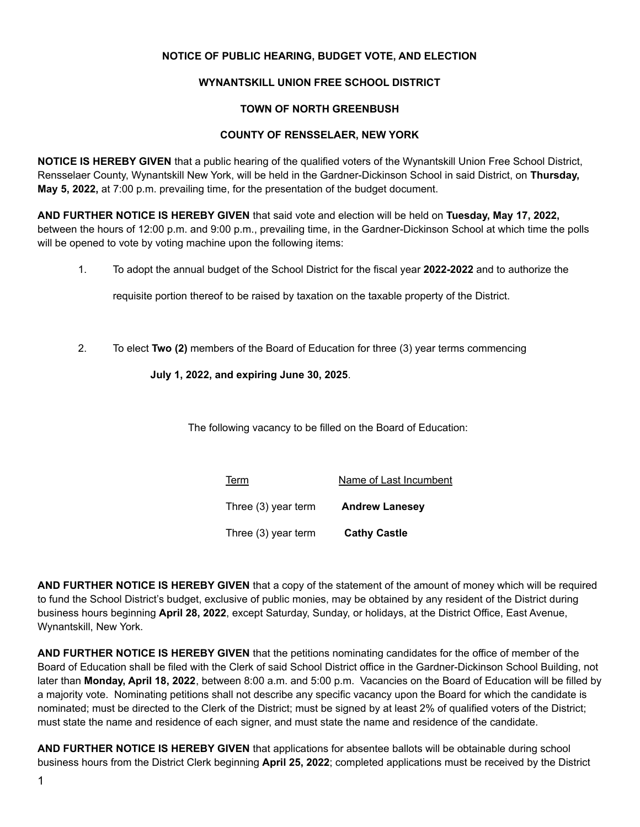# **NOTICE OF PUBLIC HEARING, BUDGET VOTE, AND ELECTION**

### **WYNANTSKILL UNION FREE SCHOOL DISTRICT**

### **TOWN OF NORTH GREENBUSH**

#### **COUNTY OF RENSSELAER, NEW YORK**

**NOTICE IS HEREBY GIVEN** that a public hearing of the qualified voters of the Wynantskill Union Free School District, Rensselaer County, Wynantskill New York, will be held in the Gardner-Dickinson School in said District, on **Thursday, May 5, 2022,** at 7:00 p.m. prevailing time, for the presentation of the budget document.

**AND FURTHER NOTICE IS HEREBY GIVEN** that said vote and election will be held on **Tuesday, May 17, 2022,** between the hours of 12:00 p.m. and 9:00 p.m., prevailing time, in the Gardner-Dickinson School at which time the polls will be opened to vote by voting machine upon the following items:

1. To adopt the annual budget of the School District for the fiscal year **2022-2022** and to authorize the

requisite portion thereof to be raised by taxation on the taxable property of the District.

2. To elect **Two (2)** members of the Board of Education for three (3) year terms commencing

# **July 1, 2022, and expiring June 30, 2025**.

The following vacancy to be filled on the Board of Education:

| <b>Term</b><br>Name of Last Incumbent |
|---------------------------------------|
|---------------------------------------|

Three (3) year term **Andrew Lanesey**

Three (3) year term **Cathy Castle**

**AND FURTHER NOTICE IS HEREBY GIVEN** that a copy of the statement of the amount of money which will be required to fund the School District's budget, exclusive of public monies, may be obtained by any resident of the District during business hours beginning **April 28, 2022**, except Saturday, Sunday, or holidays, at the District Office, East Avenue, Wynantskill, New York.

**AND FURTHER NOTICE IS HEREBY GIVEN** that the petitions nominating candidates for the office of member of the Board of Education shall be filed with the Clerk of said School District office in the Gardner-Dickinson School Building, not later than **Monday, April 18, 2022**, between 8:00 a.m. and 5:00 p.m. Vacancies on the Board of Education will be filled by a majority vote. Nominating petitions shall not describe any specific vacancy upon the Board for which the candidate is nominated; must be directed to the Clerk of the District; must be signed by at least 2% of qualified voters of the District; must state the name and residence of each signer, and must state the name and residence of the candidate.

**AND FURTHER NOTICE IS HEREBY GIVEN** that applications for absentee ballots will be obtainable during school business hours from the District Clerk beginning **April 25, 2022**; completed applications must be received by the District